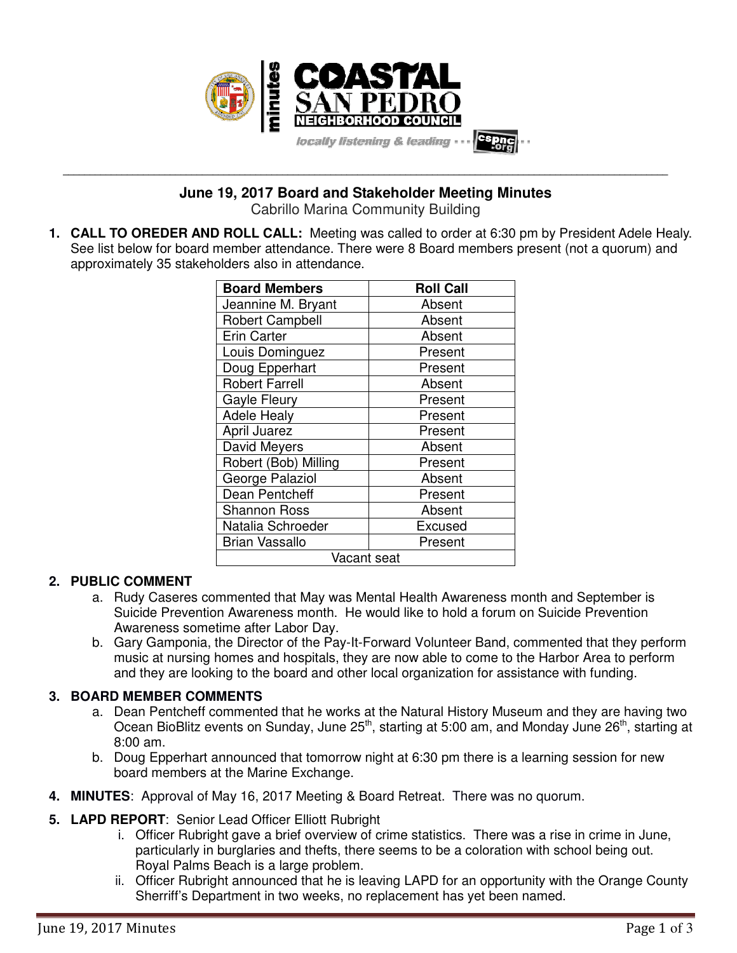

**June 19, 2017 Board and Stakeholder Meeting Minutes**

**\_\_\_\_\_\_\_\_\_\_\_\_\_\_\_\_\_\_\_\_\_\_\_\_\_\_\_\_\_\_\_\_\_\_\_\_\_\_\_\_\_\_\_\_\_\_\_\_\_\_\_\_\_\_\_\_\_\_\_\_\_\_\_\_\_\_\_\_\_\_\_\_\_\_\_\_\_\_\_\_\_\_\_\_\_\_\_\_\_\_\_\_\_\_\_\_\_\_\_\_\_\_\_\_\_\_\_\_\_\_\_\_\_**

Cabrillo Marina Community Building

**1. CALL TO OREDER AND ROLL CALL:** Meeting was called to order at 6:30 pm by President Adele Healy. See list below for board member attendance. There were 8 Board members present (not a quorum) and approximately 35 stakeholders also in attendance.

| <b>Board Members</b>   | <b>Roll Call</b> |
|------------------------|------------------|
| Jeannine M. Bryant     | Absent           |
| <b>Robert Campbell</b> | Absent           |
| <b>Erin Carter</b>     | Absent           |
| Louis Dominguez        | Present          |
| Doug Epperhart         | Present          |
| <b>Robert Farrell</b>  | Absent           |
| <b>Gayle Fleury</b>    | Present          |
| <b>Adele Healy</b>     | Present          |
| April Juarez           | Present          |
| David Meyers           | Absent           |
| Robert (Bob) Milling   | Present          |
| George Palaziol        | Absent           |
| Dean Pentcheff         | Present          |
| <b>Shannon Ross</b>    | Absent           |
| Natalia Schroeder      | Excused          |
| <b>Brian Vassallo</b>  | Present          |
| Vacant seat            |                  |

## **2. PUBLIC COMMENT**

- a. Rudy Caseres commented that May was Mental Health Awareness month and September is Suicide Prevention Awareness month. He would like to hold a forum on Suicide Prevention Awareness sometime after Labor Day.
- b. Gary Gamponia, the Director of the Pay-It-Forward Volunteer Band, commented that they perform music at nursing homes and hospitals, they are now able to come to the Harbor Area to perform and they are looking to the board and other local organization for assistance with funding.

## **3. BOARD MEMBER COMMENTS**

- a. Dean Pentcheff commented that he works at the Natural History Museum and they are having two Ocean BioBlitz events on Sunday, June 25<sup>th</sup>, starting at 5:00 am, and Monday June 26<sup>th</sup>, starting at 8:00 am.
- b. Doug Epperhart announced that tomorrow night at 6:30 pm there is a learning session for new board members at the Marine Exchange.
- **4. MINUTES**: Approval of May 16, 2017 Meeting & Board Retreat. There was no quorum.

## **5. LAPD REPORT**: Senior Lead Officer Elliott Rubright

- i. Officer Rubright gave a brief overview of crime statistics. There was a rise in crime in June, particularly in burglaries and thefts, there seems to be a coloration with school being out. Royal Palms Beach is a large problem.
- ii. Officer Rubright announced that he is leaving LAPD for an opportunity with the Orange County Sherriff's Department in two weeks, no replacement has yet been named.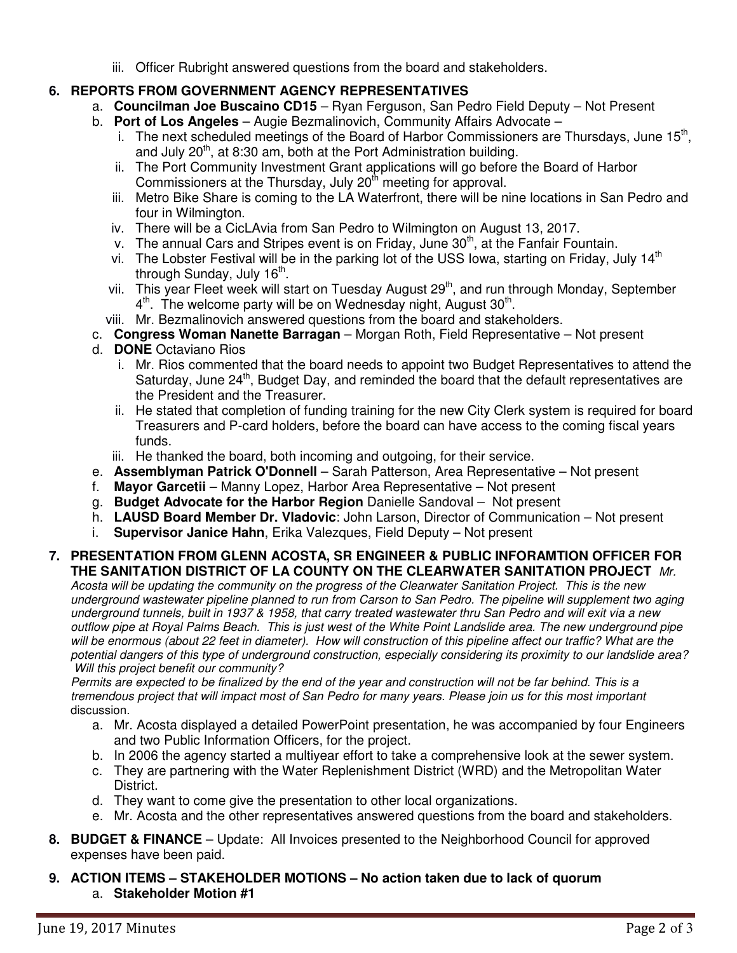iii. Officer Rubright answered questions from the board and stakeholders.

# **6. REPORTS FROM GOVERNMENT AGENCY REPRESENTATIVES**

- a. **Councilman Joe Buscaino CD15** Ryan Ferguson, San Pedro Field Deputy Not Present
- b. **Port of Los Angeles** Augie Bezmalinovich, Community Affairs Advocate
	- i. The next scheduled meetings of the Board of Harbor Commissioners are Thursdays, June  $15<sup>th</sup>$ , and July 20<sup>th</sup>, at 8:30 am, both at the Port Administration building.
	- ii. The Port Community Investment Grant applications will go before the Board of Harbor Commissioners at the Thursday, July 20<sup>th</sup> meeting for approval.
	- iii. Metro Bike Share is coming to the LA Waterfront, there will be nine locations in San Pedro and four in Wilmington.
	- iv. There will be a CicLAvia from San Pedro to Wilmington on August 13, 2017.
	- v. The annual Cars and Stripes event is on Friday, June 30<sup>th</sup>, at the Fanfair Fountain.
	- vi. The Lobster Festival will be in the parking lot of the USS Iowa, starting on Friday, July 14<sup>th</sup> through Sunday, July 16<sup>th</sup>.
	- vii. This year Fleet week will start on Tuesday August 29<sup>th</sup>, and run through Monday, September  $4<sup>th</sup>$ . The welcome party will be on Wednesday night, August 30<sup>th</sup>.
	- viii. Mr. Bezmalinovich answered questions from the board and stakeholders.
- c. **Congress Woman Nanette Barragan** Morgan Roth, Field Representative Not present
- d. **DONE** Octaviano Rios
	- i. Mr. Rios commented that the board needs to appoint two Budget Representatives to attend the Saturday, June 24<sup>th</sup>, Budget Day, and reminded the board that the default representatives are the President and the Treasurer.
	- ii. He stated that completion of funding training for the new City Clerk system is required for board Treasurers and P-card holders, before the board can have access to the coming fiscal years funds.
	- iii. He thanked the board, both incoming and outgoing, for their service.
- e. **Assemblyman Patrick O'Donnell** Sarah Patterson, Area Representative Not present
- f. **Mayor Garcetii** Manny Lopez, Harbor Area Representative Not present
- g. **Budget Advocate for the Harbor Region** Danielle Sandoval Not present
- h. **LAUSD Board Member Dr. Vladovic**: John Larson, Director of Communication Not present
- i. **Supervisor Janice Hahn**, Erika Valezques, Field Deputy Not present

# **7. PRESENTATION FROM GLENN ACOSTA, SR ENGINEER & PUBLIC INFORAMTION OFFICER FOR THE SANITATION DISTRICT OF LA COUNTY ON THE CLEARWATER SANITATION PROJECT** Mr.

Acosta will be updating the community on the progress of the Clearwater Sanitation Project. This is the new underground wastewater pipeline planned to run from Carson to San Pedro. The pipeline will supplement two aging underground tunnels, built in 1937 & 1958, that carry treated wastewater thru San Pedro and will exit via a new outflow pipe at Royal Palms Beach. This is just west of the White Point Landslide area. The new underground pipe will be enormous (about 22 feet in diameter). How will construction of this pipeline affect our traffic? What are the potential dangers of this type of underground construction, especially considering its proximity to our landslide area? Will this project benefit our community?

Permits are expected to be finalized by the end of the year and construction will not be far behind. This is a tremendous project that will impact most of San Pedro for many years. Please join us for this most important discussion.

- a. Mr. Acosta displayed a detailed PowerPoint presentation, he was accompanied by four Engineers and two Public Information Officers, for the project.
- b. In 2006 the agency started a multiyear effort to take a comprehensive look at the sewer system.
- c. They are partnering with the Water Replenishment District (WRD) and the Metropolitan Water District.
- d. They want to come give the presentation to other local organizations.
- e. Mr. Acosta and the other representatives answered questions from the board and stakeholders.
- **8. BUDGET & FINANCE** Update: All Invoices presented to the Neighborhood Council for approved expenses have been paid.
- **9. ACTION ITEMS STAKEHOLDER MOTIONS No action taken due to lack of quorum**  a. **Stakeholder Motion #1**